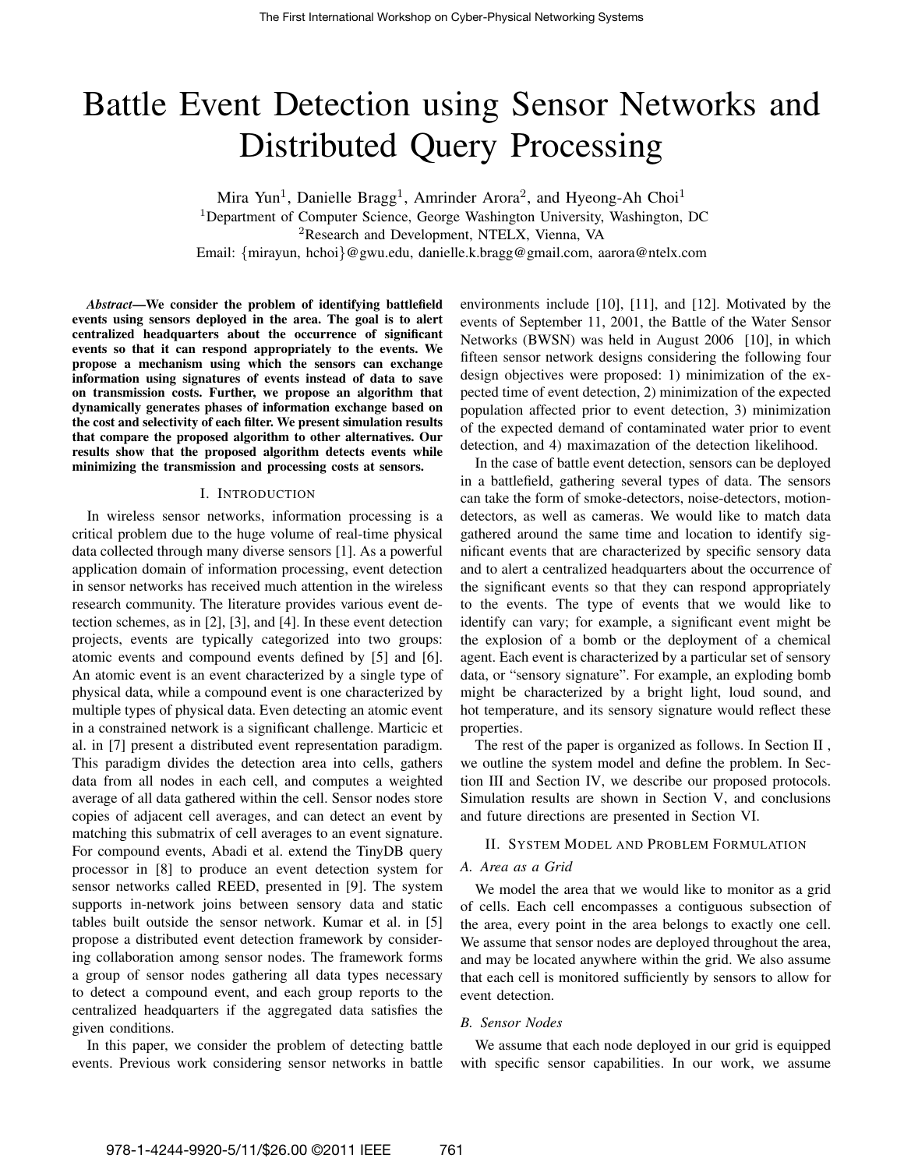# Battle Event Detection using Sensor Networks and Distributed Query Processing

Mira Yun<sup>1</sup>, Danielle Bragg<sup>1</sup>, Amrinder Arora<sup>2</sup>, and Hyeong-Ah Choi<sup>1</sup> <sup>1</sup>Department of Computer Science, George Washington University, Washington, DC <sup>2</sup>Research and Development, NTELX, Vienna, VA Email: {mirayun, hchoi}@gwu.edu, danielle.k.bragg@gmail.com, aarora@ntelx.com

*Abstract***—We consider the problem of identifying battlefield events using sensors deployed in the area. The goal is to alert centralized headquarters about the occurrence of significant events so that it can respond appropriately to the events. We propose a mechanism using which the sensors can exchange information using signatures of events instead of data to save on transmission costs. Further, we propose an algorithm that dynamically generates phases of information exchange based on the cost and selectivity of each filter. We present simulation results that compare the proposed algorithm to other alternatives. Our results show that the proposed algorithm detects events while minimizing the transmission and processing costs at sensors.**

## I. INTRODUCTION

In wireless sensor networks, information processing is a critical problem due to the huge volume of real-time physical data collected through many diverse sensors [1]. As a powerful application domain of information processing, event detection in sensor networks has received much attention in the wireless research community. The literature provides various event detection schemes, as in [2], [3], and [4]. In these event detection projects, events are typically categorized into two groups: atomic events and compound events defined by [5] and [6]. An atomic event is an event characterized by a single type of physical data, while a compound event is one characterized by multiple types of physical data. Even detecting an atomic event in a constrained network is a significant challenge. Marticic et al. in [7] present a distributed event representation paradigm. This paradigm divides the detection area into cells, gathers data from all nodes in each cell, and computes a weighted average of all data gathered within the cell. Sensor nodes store copies of adjacent cell averages, and can detect an event by matching this submatrix of cell averages to an event signature. For compound events, Abadi et al. extend the TinyDB query processor in [8] to produce an event detection system for sensor networks called REED, presented in [9]. The system supports in-network joins between sensory data and static tables built outside the sensor network. Kumar et al. in [5] propose a distributed event detection framework by considering collaboration among sensor nodes. The framework forms a group of sensor nodes gathering all data types necessary to detect a compound event, and each group reports to the centralized headquarters if the aggregated data satisfies the given conditions.

In this paper, we consider the problem of detecting battle events. Previous work considering sensor networks in battle environments include [10], [11], and [12]. Motivated by the events of September 11, 2001, the Battle of the Water Sensor Networks (BWSN) was held in August 2006 [10], in which fifteen sensor network designs considering the following four design objectives were proposed: 1) minimization of the expected time of event detection, 2) minimization of the expected population affected prior to event detection, 3) minimization of the expected demand of contaminated water prior to event detection, and 4) maximazation of the detection likelihood.

In the case of battle event detection, sensors can be deployed in a battlefield, gathering several types of data. The sensors can take the form of smoke-detectors, noise-detectors, motiondetectors, as well as cameras. We would like to match data gathered around the same time and location to identify significant events that are characterized by specific sensory data and to alert a centralized headquarters about the occurrence of the significant events so that they can respond appropriately to the events. The type of events that we would like to identify can vary; for example, a significant event might be the explosion of a bomb or the deployment of a chemical agent. Each event is characterized by a particular set of sensory data, or "sensory signature". For example, an exploding bomb might be characterized by a bright light, loud sound, and hot temperature, and its sensory signature would reflect these properties.

The rest of the paper is organized as follows. In Section II , we outline the system model and define the problem. In Section III and Section IV, we describe our proposed protocols. Simulation results are shown in Section V, and conclusions and future directions are presented in Section VI.

## II. SYSTEM MODEL AND PROBLEM FORMULATION

# *A. Area as a Grid*

We model the area that we would like to monitor as a grid of cells. Each cell encompasses a contiguous subsection of the area, every point in the area belongs to exactly one cell. We assume that sensor nodes are deployed throughout the area, and may be located anywhere within the grid. We also assume that each cell is monitored sufficiently by sensors to allow for event detection.

## *B. Sensor Nodes*

We assume that each node deployed in our grid is equipped with specific sensor capabilities. In our work, we assume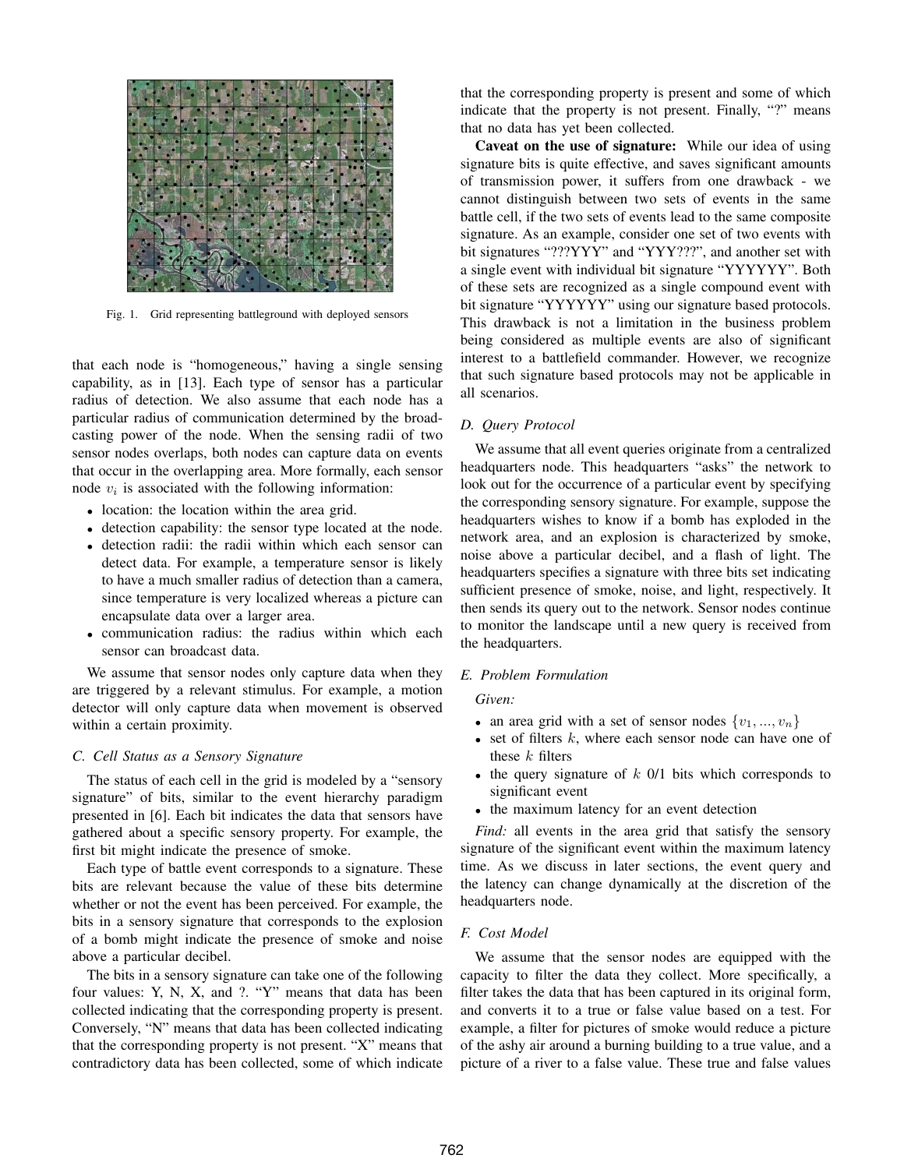

Fig. 1. Grid representing battleground with deployed sensors

that each node is "homogeneous," having a single sensing capability, as in [13]. Each type of sensor has a particular radius of detection. We also assume that each node has a particular radius of communication determined by the broadcasting power of the node. When the sensing radii of two sensor nodes overlaps, both nodes can capture data on events that occur in the overlapping area. More formally, each sensor node  $v_i$  is associated with the following information:

- <sup>∙</sup> location: the location within the area grid.
- <sup>∙</sup> detection capability: the sensor type located at the node.
- <sup>∙</sup> detection radii: the radii within which each sensor can detect data. For example, a temperature sensor is likely to have a much smaller radius of detection than a camera, since temperature is very localized whereas a picture can encapsulate data over a larger area.
- <sup>∙</sup> communication radius: the radius within which each sensor can broadcast data.

We assume that sensor nodes only capture data when they are triggered by a relevant stimulus. For example, a motion detector will only capture data when movement is observed within a certain proximity.

## *C. Cell Status as a Sensory Signature*

The status of each cell in the grid is modeled by a "sensory signature" of bits, similar to the event hierarchy paradigm presented in [6]. Each bit indicates the data that sensors have gathered about a specific sensory property. For example, the first bit might indicate the presence of smoke.

Each type of battle event corresponds to a signature. These bits are relevant because the value of these bits determine whether or not the event has been perceived. For example, the bits in a sensory signature that corresponds to the explosion of a bomb might indicate the presence of smoke and noise above a particular decibel.

The bits in a sensory signature can take one of the following four values: Y, N, X, and ?. "Y" means that data has been collected indicating that the corresponding property is present. Conversely, "N" means that data has been collected indicating that the corresponding property is not present. "X" means that contradictory data has been collected, some of which indicate that the corresponding property is present and some of which indicate that the property is not present. Finally, "?" means that no data has yet been collected.

**Caveat on the use of signature:** While our idea of using signature bits is quite effective, and saves significant amounts of transmission power, it suffers from one drawback - we cannot distinguish between two sets of events in the same battle cell, if the two sets of events lead to the same composite signature. As an example, consider one set of two events with bit signatures "???YYY" and "YYY???", and another set with a single event with individual bit signature "YYYYYY". Both of these sets are recognized as a single compound event with bit signature "YYYYYY" using our signature based protocols. This drawback is not a limitation in the business problem being considered as multiple events are also of significant interest to a battlefield commander. However, we recognize that such signature based protocols may not be applicable in all scenarios.

# *D. Query Protocol*

We assume that all event queries originate from a centralized headquarters node. This headquarters "asks" the network to look out for the occurrence of a particular event by specifying the corresponding sensory signature. For example, suppose the headquarters wishes to know if a bomb has exploded in the network area, and an explosion is characterized by smoke, noise above a particular decibel, and a flash of light. The headquarters specifies a signature with three bits set indicating sufficient presence of smoke, noise, and light, respectively. It then sends its query out to the network. Sensor nodes continue to monitor the landscape until a new query is received from the headquarters.

# *E. Problem Formulation*

# *Given:*

- an area grid with a set of sensor nodes  $\{v_1, ..., v_n\}$
- set of filters  $k$ , where each sensor node can have one of these  $k$  filters
- the query signature of  $k$  0/1 bits which corresponds to significant event
- <sup>∙</sup> the maximum latency for an event detection

*Find:* all events in the area grid that satisfy the sensory signature of the significant event within the maximum latency time. As we discuss in later sections, the event query and the latency can change dynamically at the discretion of the headquarters node.

# *F. Cost Model*

We assume that the sensor nodes are equipped with the capacity to filter the data they collect. More specifically, a filter takes the data that has been captured in its original form, and converts it to a true or false value based on a test. For example, a filter for pictures of smoke would reduce a picture of the ashy air around a burning building to a true value, and a picture of a river to a false value. These true and false values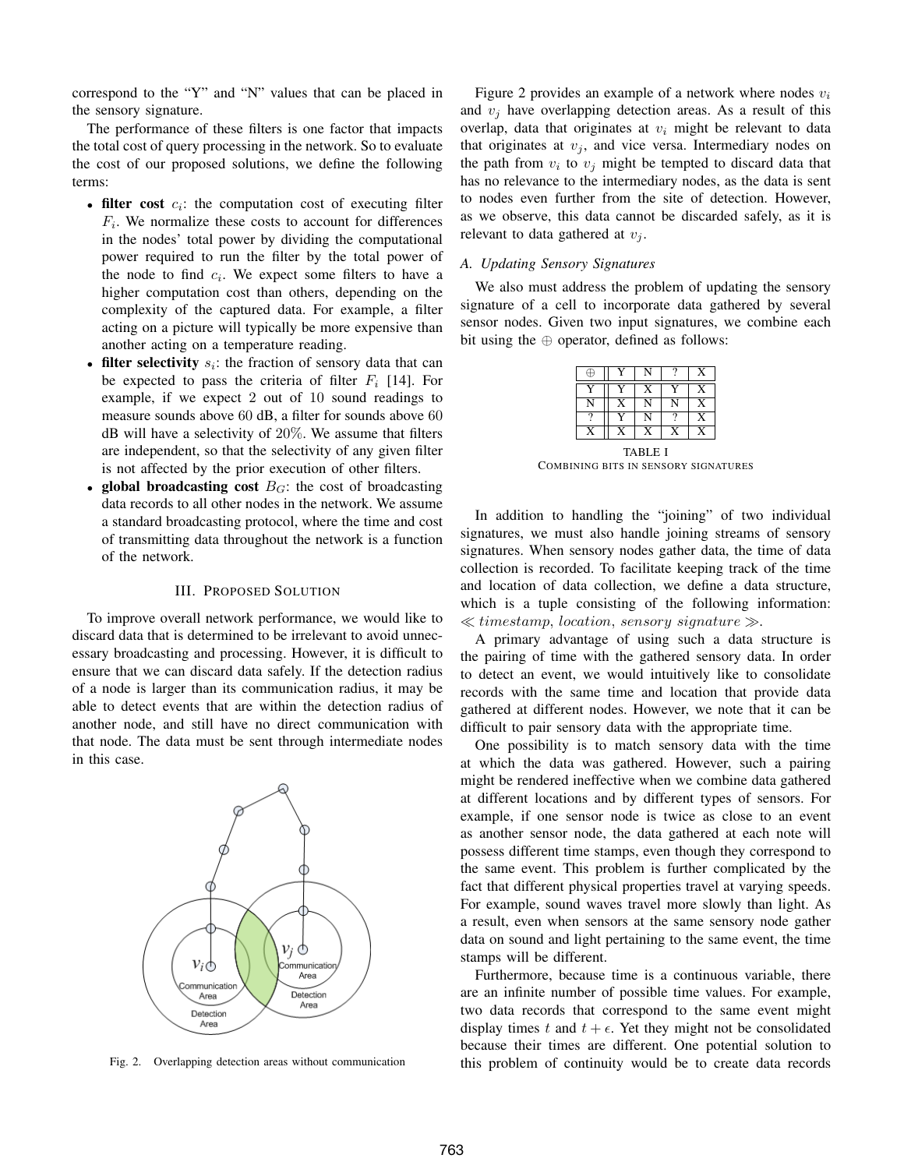correspond to the "Y" and "N" values that can be placed in the sensory signature.

The performance of these filters is one factor that impacts the total cost of query processing in the network. So to evaluate the cost of our proposed solutions, we define the following terms:

- **filter cost**  $c_i$ : the computation cost of executing filter  $F_i$ . We normalize these costs to account for differences in the nodes' total power by dividing the computational power required to run the filter by the total power of the node to find  $c_i$ . We expect some filters to have a higher computation cost than others, depending on the complexity of the captured data. For example, a filter acting on a picture will typically be more expensive than another acting on a temperature reading.
- **filter selectivity**  $s_i$ : the fraction of sensory data that can be expected to pass the criteria of filter  $F_i$  [14]. For example, if we expect 2 out of 10 sound readings to measure sounds above 60 dB, a filter for sounds above 60 dB will have a selectivity of 20%. We assume that filters are independent, so that the selectivity of any given filter is not affected by the prior execution of other filters.
- **global broadcasting cost**  $B_G$ : the cost of broadcasting data records to all other nodes in the network. We assume a standard broadcasting protocol, where the time and cost of transmitting data throughout the network is a function of the network.

## III. PROPOSED SOLUTION

To improve overall network performance, we would like to discard data that is determined to be irrelevant to avoid unnecessary broadcasting and processing. However, it is difficult to ensure that we can discard data safely. If the detection radius of a node is larger than its communication radius, it may be able to detect events that are within the detection radius of another node, and still have no direct communication with that node. The data must be sent through intermediate nodes in this case.



Fig. 2. Overlapping detection areas without communication

Figure 2 provides an example of a network where nodes  $v_i$ and  $v_i$  have overlapping detection areas. As a result of this overlap, data that originates at  $v_i$  might be relevant to data that originates at  $v_j$ , and vice versa. Intermediary nodes on the path from  $v_i$  to  $v_j$  might be tempted to discard data that has no relevance to the intermediary nodes, as the data is sent to nodes even further from the site of detection. However, as we observe, this data cannot be discarded safely, as it is relevant to data gathered at  $v_i$ .

#### *A. Updating Sensory Signatures*

We also must address the problem of updating the sensory signature of a cell to incorporate data gathered by several sensor nodes. Given two input signatures, we combine each bit using the ⊕ operator, defined as follows:

| <b>TABLE I</b> |  |  |  |  |
|----------------|--|--|--|--|

COMBINING BITS IN SENSORY SIGNATURES

In addition to handling the "joining" of two individual signatures, we must also handle joining streams of sensory signatures. When sensory nodes gather data, the time of data collection is recorded. To facilitate keeping track of the time and location of data collection, we define a data structure, which is a tuple consisting of the following information:  $\ll$  timestamp, location, sensory signature  $\gg$ .

A primary advantage of using such a data structure is the pairing of time with the gathered sensory data. In order to detect an event, we would intuitively like to consolidate records with the same time and location that provide data gathered at different nodes. However, we note that it can be difficult to pair sensory data with the appropriate time.

One possibility is to match sensory data with the time at which the data was gathered. However, such a pairing might be rendered ineffective when we combine data gathered at different locations and by different types of sensors. For example, if one sensor node is twice as close to an event as another sensor node, the data gathered at each note will possess different time stamps, even though they correspond to the same event. This problem is further complicated by the fact that different physical properties travel at varying speeds. For example, sound waves travel more slowly than light. As a result, even when sensors at the same sensory node gather data on sound and light pertaining to the same event, the time stamps will be different.

Furthermore, because time is a continuous variable, there are an infinite number of possible time values. For example, two data records that correspond to the same event might display times t and  $t + \epsilon$ . Yet they might not be consolidated because their times are different. One potential solution to this problem of continuity would be to create data records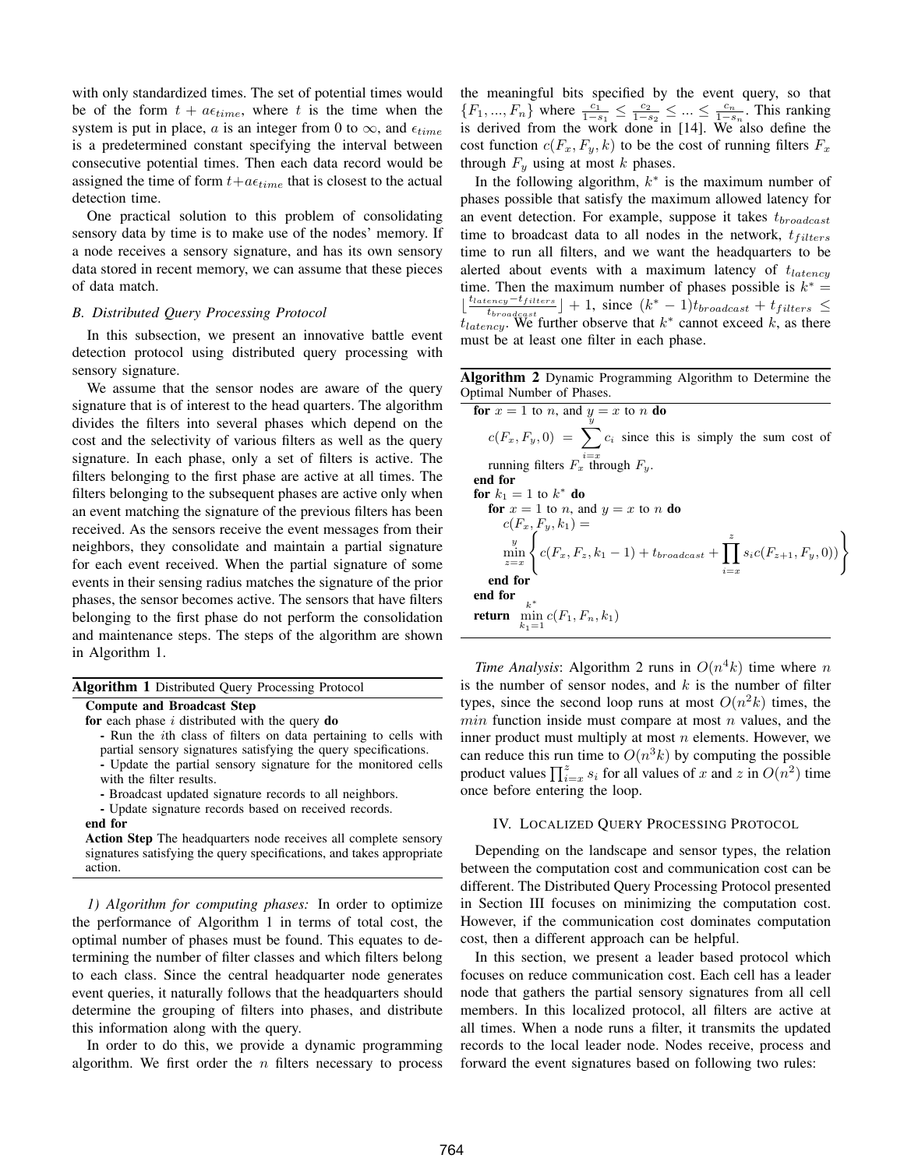with only standardized times. The set of potential times would be of the form  $t + a\epsilon_{time}$ , where t is the time when the system is put in place, a is an integer from 0 to  $\infty$ , and  $\epsilon_{time}$ is a predetermined constant specifying the interval between consecutive potential times. Then each data record would be assigned the time of form  $t + a\epsilon_{time}$  that is closest to the actual detection time.

One practical solution to this problem of consolidating sensory data by time is to make use of the nodes' memory. If a node receives a sensory signature, and has its own sensory data stored in recent memory, we can assume that these pieces of data match.

### *B. Distributed Query Processing Protocol*

In this subsection, we present an innovative battle event detection protocol using distributed query processing with sensory signature.

We assume that the sensor nodes are aware of the query signature that is of interest to the head quarters. The algorithm divides the filters into several phases which depend on the cost and the selectivity of various filters as well as the query signature. In each phase, only a set of filters is active. The filters belonging to the first phase are active at all times. The filters belonging to the subsequent phases are active only when an event matching the signature of the previous filters has been received. As the sensors receive the event messages from their neighbors, they consolidate and maintain a partial signature for each event received. When the partial signature of some events in their sensing radius matches the signature of the prior phases, the sensor becomes active. The sensors that have filters belonging to the first phase do not perform the consolidation and maintenance steps. The steps of the algorithm are shown in  $\angle$ 

| neighbors, they consolidate and maintain a partial signature      |       |
|-------------------------------------------------------------------|-------|
| for each event received. When the partial signature of some       |       |
| events in their sensing radius matches the signature of the prior |       |
| phases, the sensor becomes active. The sensors that have filters  |       |
| belonging to the first phase do not perform the consolidation     |       |
| and maintenance steps. The steps of the algorithm are shown       |       |
| in Algorithm 1.                                                   |       |
|                                                                   |       |
| Algorithm 1 Distributed Query Processing Protocol                 | is tl |
| <b>Compute and Broadcast Step</b>                                 | type  |
|                                                                   |       |

**for** each phase *i* distributed with the query **do -** Run the th class of filters on data pertaining to cells with

partial sensory signatures satisfying the query specifications.

**-** Update the partial sensory signature for the monitored cells with the filter results.

**-** Broadcast updated signature records to all neighbors.

**-** Update signature records based on received records.

**end for**

**Action Step** The headquarters node receives all complete sensory signatures satisfying the query specifications, and takes appropriate action.

*1) Algorithm for computing phases:* In order to optimize the performance of Algorithm 1 in terms of total cost, the optimal number of phases must be found. This equates to determining the number of filter classes and which filters belong to each class. Since the central headquarter node generates event queries, it naturally follows that the headquarters should determine the grouping of filters into phases, and distribute this information along with the query.

In order to do this, we provide a dynamic programming algorithm. We first order the  $n$  filters necessary to process the meaningful bits specified by the event query, so that  ${F_1, ..., F_n}$  where  $\frac{c_1}{1-s_1} \le \frac{c_2}{1-s_2} \le ... \le \frac{c_n}{1-s_n}$ . This ranking is derived from the work done in [14]. We also define the cost function  $c(F_x, F_y, k)$  to be the cost of running filters  $F_x$ through  $F_y$  using at most  $k$  phases.

In the following algorithm,  $k^*$  is the maximum number of phases possible that satisfy the maximum allowed latency for an event detection. For example, suppose it takes  $t_{broadcast}$ time to broadcast data to all nodes in the network,  $t_{filters}$ time to run all filters, and we want the headquarters to be alerted about events with a maximum latency of  $t_{latency}$ time. Then the maximum number of phases possible is  $k^* =$  $\lfloor \frac{t_{latency} - t_{filters}}{t_{broadcast}} \rfloor + 1$ , since  $(k^* - 1)t_{broadcast} + t_{filters} \leq$  $\left[\frac{t_{broadcast}}{t_{latency}}\right]$  + 1, since  $\left(k - 1\right)t_{broadcast}$  +  $t_{litters}$   $\ge$   $t_{latency}$ . We further observe that  $k^*$  cannot exceed k, as there must be at least one filter in each phase.

**Algorithm 2** Dynamic Programming Algorithm to Determine the Optimal Number of Phases.

**for** 
$$
x = 1
$$
 to *n*, and  $y = x$  to *n* **do**  
\n
$$
c(F_x, F_y, 0) = \sum_{x = x}^{n} c_i
$$
\nsince this is simply the sum cost of  
\nrunning filters  $F_x$  through  $F_y$ .  
\n**end for**  
\n**for**  $k_1 = 1$  to  $k^*$  **do**  
\n**for**  $x = 1$  to *n*, and  $y = x$  to *n* **do**  
\n
$$
c(F_x, F_y, k_1) = \sum_{\substack{x = x \\ x = x}}^{y} \left\{ c(F_x, F_z, k_1 - 1) + t_{broadcast} + \prod_{i=x}^{z} s_i c(F_{z+1}, F_y, 0) \right\}
$$
\n**end for**  
\n**end for**  
\n**end for**  
\n**return**  $\min_{k_1 = 1}^{n} c(F_1, F_n, k_1)$ 

*Time Analysis:* Algorithm 2 runs in  $O(n^4k)$  time where n he number of sensor nodes, and  $k$  is the number of filter es, since the second loop runs at most  $O(n^2k)$  times, the *min* function inside must compare at most  $n$  values, and the inner product must multiply at most  $n$  elements. However, we can reduce this run time to  $O(n^3k)$  by computing the possible product values  $\prod_{i=x}^{z} s_i$  for all values of x and z in  $O(n^2)$  time once before entering the loop.

#### IV. LOCALIZED QUERY PROCESSING PROTOCOL

Depending on the landscape and sensor types, the relation between the computation cost and communication cost can be different. The Distributed Query Processing Protocol presented in Section III focuses on minimizing the computation cost. However, if the communication cost dominates computation cost, then a different approach can be helpful.

In this section, we present a leader based protocol which focuses on reduce communication cost. Each cell has a leader node that gathers the partial sensory signatures from all cell members. In this localized protocol, all filters are active at all times. When a node runs a filter, it transmits the updated records to the local leader node. Nodes receive, process and forward the event signatures based on following two rules: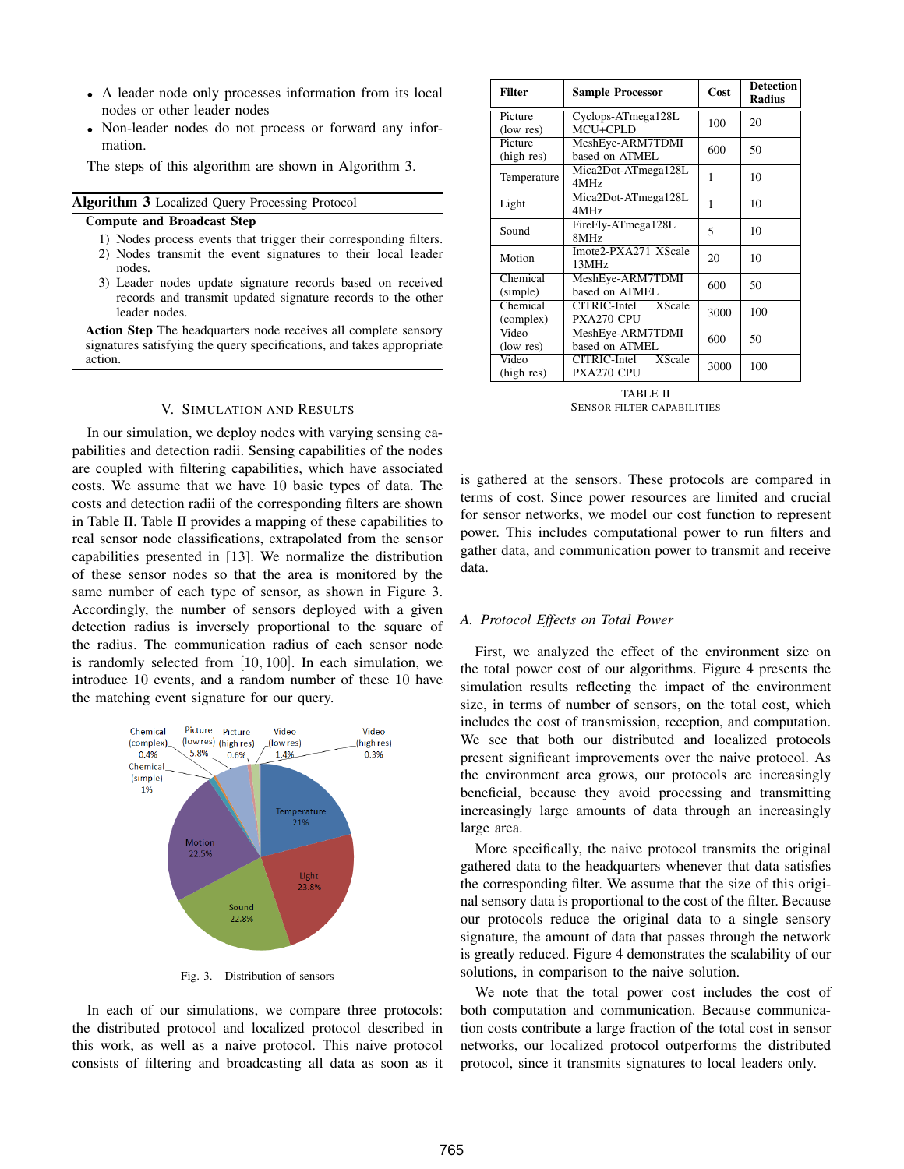- <sup>∙</sup> A leader node only processes information from its local nodes or other leader nodes
- <sup>∙</sup> Non-leader nodes do not process or forward any information.

The steps of this algorithm are shown in Algorithm 3.

| Algorithm 3 Localized Query Processing Protocol |  |  |  |  |  |
|-------------------------------------------------|--|--|--|--|--|
|-------------------------------------------------|--|--|--|--|--|

#### **Compute and Broadcast Step**

- 1) Nodes process events that trigger their corresponding filters.
- 2) Nodes transmit the event signatures to their local leader nodes.
- 3) Leader nodes update signature records based on received records and transmit updated signature records to the other leader nodes.

**Action Step** The headquarters node receives all complete sensory signatures satisfying the query specifications, and takes appropriate action.

# V. SIMULATION AND RESULTS

In our simulation, we deploy nodes with varying sensing capabilities and detection radii. Sensing capabilities of the nodes are coupled with filtering capabilities, which have associated costs. We assume that we have 10 basic types of data. The costs and detection radii of the corresponding filters are shown in Table II. Table II provides a mapping of these capabilities to real sensor node classifications, extrapolated from the sensor capabilities presented in [13]. We normalize the distribution of these sensor nodes so that the area is monitored by the same number of each type of sensor, as shown in Figure 3. Accordingly, the number of sensors deployed with a given detection radius is inversely proportional to the square of the radius. The communication radius of each sensor node is randomly selected from [10, 100]. In each simulation, we introduce 10 events, and a random number of these 10 have the matching event signature for our query.



Fig. 3. Distribution of sensors

In each of our simulations, we compare three protocols: the distributed protocol and localized protocol described in this work, as well as a naive protocol. This naive protocol consists of filtering and broadcasting all data as soon as it

| <b>Filter</b>         | <b>Sample Processor</b>                     | Cost | <b>Detection</b><br><b>Radius</b> |
|-----------------------|---------------------------------------------|------|-----------------------------------|
| Picture<br>(low res)  | Cyclops-ATmega <sub>128L</sub><br>MCU+CPLD  | 100  | 20                                |
| Picture<br>(high res) | MeshEye-ARM7TDMI<br>based on ATMEL          | 600  | 50                                |
| Temperature           | Mica2Dot-ATmega128L<br>4MHz                 | 1    | 10                                |
| Light                 | Mica2Dot-ATmega128L<br>4MHz                 | 1    | 10                                |
| Sound                 | FireFly-ATmega128L<br>8MHz                  | 5    | 10                                |
| Motion                | Imote2-PXA <sub>271</sub> XScale<br>13MHz   | 20   | 10                                |
| Chemical<br>(simple)  | MeshEye-ARM7TDMI<br>based on ATMEL          | 600  | 50                                |
| Chemical<br>(complex) | CITRIC-Intel<br><b>XScale</b><br>PXA270 CPU | 3000 | 100                               |
| Video<br>(low res)    | MeshEye-ARM7TDMI<br>based on ATMEL          | 600  | 50                                |
| Video<br>(high res)   | CITRIC-Intel<br>XScale<br>PXA270 CPU        | 3000 | 100                               |

TABLE II SENSOR FILTER CAPABILITIES

is gathered at the sensors. These protocols are compared in terms of cost. Since power resources are limited and crucial for sensor networks, we model our cost function to represent power. This includes computational power to run filters and gather data, and communication power to transmit and receive data.

## *A. Protocol Effects on Total Power*

First, we analyzed the effect of the environment size on the total power cost of our algorithms. Figure 4 presents the simulation results reflecting the impact of the environment size, in terms of number of sensors, on the total cost, which includes the cost of transmission, reception, and computation. We see that both our distributed and localized protocols present significant improvements over the naive protocol. As the environment area grows, our protocols are increasingly beneficial, because they avoid processing and transmitting increasingly large amounts of data through an increasingly large area.

More specifically, the naive protocol transmits the original gathered data to the headquarters whenever that data satisfies the corresponding filter. We assume that the size of this original sensory data is proportional to the cost of the filter. Because our protocols reduce the original data to a single sensory signature, the amount of data that passes through the network is greatly reduced. Figure 4 demonstrates the scalability of our solutions, in comparison to the naive solution.

We note that the total power cost includes the cost of both computation and communication. Because communication costs contribute a large fraction of the total cost in sensor networks, our localized protocol outperforms the distributed protocol, since it transmits signatures to local leaders only.